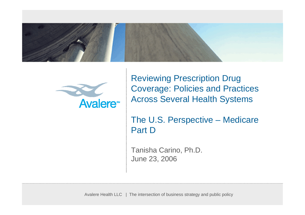



Reviewing Prescription Drug Coverage: Policies and Practices Across Several Health Systems

The U.S. Perspective – Medicare Part D

Tanisha Carino, Ph.D. June 23, 2006

Avalere Health LLC | The intersection of business strategy and public policy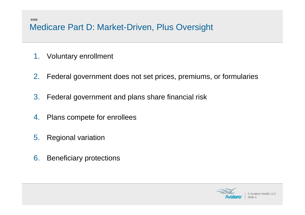## Medicare Part D: Market-Driven, Plus Oversight

1. Voluntary enrollment

医胃炎

- 2. Federal government does not set prices, premiums, or formularies
- 3. Federal government and plans share financial risk
- 4. Plans compete for enrollees
- 5. Regional variation
- 6. Beneficiary protections

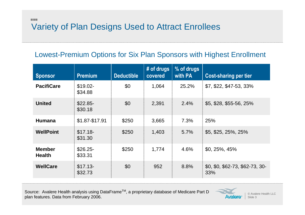## 医胃炎 Variety of Plan Designs Used to Attract Enrollees

## Lowest-Premium Options for Six Plan Sponsors with Highest Enrollment

| <b>Sponsor</b>                 | <b>Premium</b>       | <b>Deductible</b> | # of drugs<br>covered | % of drugs<br>with PA | <b>Cost-sharing per tier</b>           |
|--------------------------------|----------------------|-------------------|-----------------------|-----------------------|----------------------------------------|
| <b>PacifiCare</b>              | $$19.02-$<br>\$34.88 | \$0               | 1,064                 | 25.2%                 | \$7, \$22, \$47-53, 33%                |
| <b>United</b>                  | $$22.85-$<br>\$30.18 | \$0               | 2,391                 | 2.4%                  | $$5, $28, $55-56, 25\%$                |
| <b>Humana</b>                  | \$1.87-\$17.91       | \$250             | 3,665                 | 7.3%                  | 25%                                    |
| <b>WellPoint</b>               | $$17.18-$<br>\$31.30 | \$250             | 1,403                 | 5.7%                  | \$5, \$25, 25%, 25%                    |
| <b>Member</b><br><b>Health</b> | $$26.25-$<br>\$33.31 | \$250             | 1,774                 | 4.6%                  | $$0, 25\%$ , 45%                       |
| <b>WellCare</b>                | $$17.13-$<br>\$32.73 | \$0               | 952                   | 8.8%                  | \$0, \$0, \$62-73, \$62-73, 30-<br>33% |

Source: Avalere Health analysis using DataFrame™, a proprietary database of Medicare Part D plan features. Data from February 2006.



© Avalere Health LLC Slide 3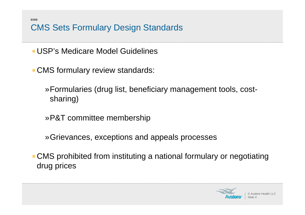CMS Sets Formulary Design Standards

USP's Medicare Model Guidelines

医胃炎

CMS formulary review standards:

»Formularies (drug list, beneficiary management tools, costsharing)

»P&T committee membership

»Grievances, exceptions and appeals processes

CMS prohibited from instituting a national formulary or negotiating drug prices